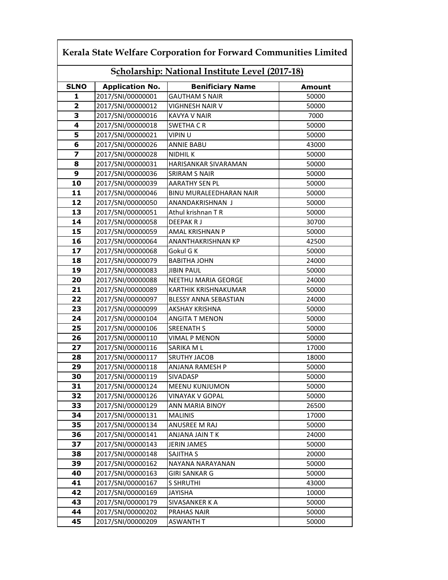| Scholarship: National Institute Level (2017-18) |                        |                                |        |  |
|-------------------------------------------------|------------------------|--------------------------------|--------|--|
| <b>SLNO</b>                                     | <b>Application No.</b> | <b>Benificiary Name</b>        | Amount |  |
| 1                                               | 2017/SNI/00000001      | <b>GAUTHAM S NAIR</b>          | 50000  |  |
| 2                                               | 2017/SNI/00000012      | VIGHNESH NAIR V                | 50000  |  |
| 3                                               | 2017/SNI/00000016      | KAVYA V NAIR                   | 7000   |  |
| 4                                               | 2017/SNI/00000018      | <b>SWETHA CR</b>               | 50000  |  |
| 5                                               | 2017/SNI/00000021      | <b>VIPIN U</b>                 | 50000  |  |
| 6                                               | 2017/SNI/00000026      | <b>ANNIE BABU</b>              | 43000  |  |
| 7                                               | 2017/SNI/00000028      | NIDHIL K                       | 50000  |  |
| 8                                               | 2017/SNI/00000031      | HARISANKAR SIVARAMAN           | 50000  |  |
| 9                                               | 2017/SNI/00000036      | <b>SRIRAM S NAIR</b>           | 50000  |  |
| 10                                              | 2017/SNI/00000039      | <b>AARATHY SEN PL</b>          | 50000  |  |
| 11                                              | 2017/SNI/00000046      | <b>BINU MURALEEDHARAN NAIR</b> | 50000  |  |
| 12                                              | 2017/SNI/00000050      | ANANDAKRISHNAN J               | 50000  |  |
| 13                                              | 2017/SNI/00000051      | Athul krishnan TR              | 50000  |  |
| 14                                              | 2017/SNI/00000058      | DEEPAK R J                     | 30700  |  |
| 15                                              | 2017/SNI/00000059      | AMAL KRISHNAN P                | 50000  |  |
| 16                                              | 2017/SNI/00000064      | ANANTHAKRISHNAN KP             | 42500  |  |
| 17                                              | 2017/SNI/00000068      | Gokul G K                      | 50000  |  |
| 18                                              | 2017/SNI/00000079      | <b>BABITHA JOHN</b>            | 24000  |  |
| 19                                              | 2017/SNI/00000083      | <b>JIBIN PAUL</b>              | 50000  |  |
| 20                                              | 2017/SNI/00000088      | NEETHU MARIA GEORGE            | 24000  |  |
| 21                                              | 2017/SNI/00000089      | KARTHIK KRISHNAKUMAR           | 50000  |  |
| 22                                              | 2017/SNI/00000097      | <b>BLESSY ANNA SEBASTIAN</b>   | 24000  |  |
| 23                                              | 2017/SNI/00000099      | AKSHAY KRISHNA                 | 50000  |  |
| 24                                              | 2017/SNI/00000104      | <b>ANGITA T MENON</b>          | 50000  |  |
| 25                                              | 2017/SNI/00000106      | <b>SREENATH S</b>              | 50000  |  |
| 26                                              | 2017/SNI/00000110      | <b>VIMAL P MENON</b>           | 50000  |  |
| 27                                              | 2017/SNI/00000116      | SARIKA ML                      | 17000  |  |
| 28                                              | 2017/SNI/00000117      | <b>SRUTHY JACOB</b>            | 18000  |  |
| 29                                              | 2017/SNI/00000118      | ANJANA RAMESH P                | 50000  |  |
| 30                                              | 2017/SNI/00000119      | SIVADASP                       | 50000  |  |
| 31                                              | 2017/SNI/00000124      | <b>MEENU KUNJUMON</b>          | 50000  |  |
| 32                                              | 2017/SNI/00000126      | VINAYAK V GOPAL                | 50000  |  |
| 33                                              | 2017/SNI/00000129      | ANN MARIA BINOY                | 26500  |  |
| 34                                              | 2017/SNI/00000131      | <b>MALINIS</b>                 | 17000  |  |
| 35                                              | 2017/SNI/00000134      | ANUSREE M RAJ                  | 50000  |  |
| 36                                              | 2017/SNI/00000141      | ANJANA JAIN T K                | 24000  |  |
| 37                                              | 2017/SNI/00000143      | JERIN JAMES                    | 50000  |  |
| 38                                              | 2017/SNI/00000148      | SAJITHA S                      | 20000  |  |
| 39                                              | 2017/SNI/00000162      | NAYANA NARAYANAN               | 50000  |  |
| 40                                              | 2017/SNI/00000163      | GIRI SANKAR G                  | 50000  |  |
| 41                                              | 2017/SNI/00000167      | <b>S SHRUTHI</b>               | 43000  |  |
| 42                                              | 2017/SNI/00000169      | <b>JAYISHA</b>                 | 10000  |  |
| 43                                              | 2017/SNI/00000179      | SIVASANKER K A                 | 50000  |  |
| 44                                              | 2017/SNI/00000202      | PRAHAS NAIR                    | 50000  |  |
| 45                                              | 2017/SNI/00000209      | ASWANTH T                      | 50000  |  |